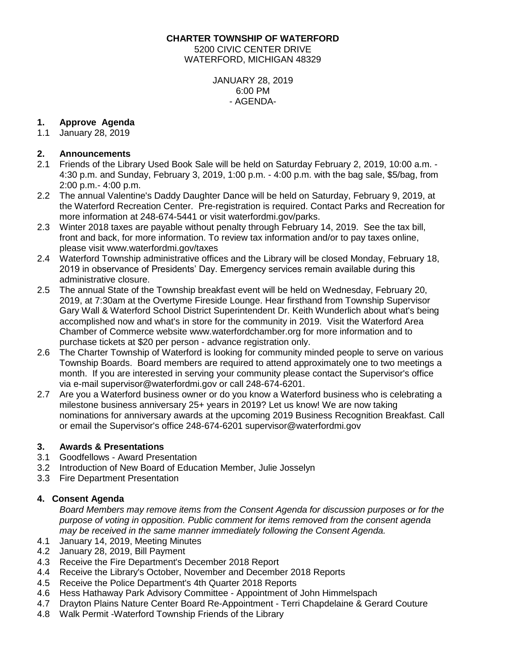**CHARTER TOWNSHIP OF WATERFORD** 5200 CIVIC CENTER DRIVE WATERFORD, MICHIGAN 48329

> JANUARY 28, 2019 6:00 PM - AGENDA-

### **1. Approve Agenda**

1.1 January 28, 2019

### **2. Announcements**

- 2.1 Friends of the Library Used Book Sale will be held on Saturday February 2, 2019, 10:00 a.m. 4:30 p.m. and Sunday, February 3, 2019, 1:00 p.m. - 4:00 p.m. with the bag sale, \$5/bag, from 2:00 p.m.- 4:00 p.m.
- 2.2 The annual Valentine's Daddy Daughter Dance will be held on Saturday, February 9, 2019, at the Waterford Recreation Center. Pre-registration is required. Contact Parks and Recreation for more information at 248-674-5441 or visit waterfordmi.gov/parks.
- 2.3 Winter 2018 taxes are payable without penalty through February 14, 2019. See the tax bill, front and back, for more information. To review tax information and/or to pay taxes online, please visit [www.waterfordmi.gov/taxes](http://www.waterfordmi.gov/taxes)
- 2.4 Waterford Township administrative offices and the Library will be closed Monday, February 18, 2019 in observance of Presidents' Day. Emergency services remain available during this administrative closure.
- 2.5 The annual State of the Township breakfast event will be held on Wednesday, February 20, 2019, at 7:30am at the Overtyme Fireside Lounge. Hear firsthand from Township Supervisor Gary Wall & Waterford School District Superintendent Dr. Keith Wunderlich about what's being accomplished now and what's in store for the community in 2019. Visit the Waterford Area Chamber of Commerce website www.waterfordchamber.org for more information and to purchase tickets at \$20 per person - advance registration only.
- 2.6 The Charter Township of Waterford is looking for community minded people to serve on various Township Boards. Board members are required to attend approximately one to two meetings a month. If you are interested in serving your community please contact the Supervisor's office via e-mail supervisor@waterfordmi.gov or call 248-674-6201.
- 2.7 Are you a Waterford business owner or do you know a Waterford business who is celebrating a milestone business anniversary 25+ years in 2019? Let us know! We are now taking nominations for anniversary awards at the upcoming 2019 Business Recognition Breakfast. Call or email the Supervisor's office 248-674-6201 supervisor@waterfordmi.gov

# **3. Awards & Presentations**

- 3.1 Goodfellows Award Presentation
- 3.2 Introduction of New Board of Education Member, Julie Josselyn
- 3.3 Fire Department Presentation

# **4. Consent Agenda**

*Board Members may remove items from the Consent Agenda for discussion purposes or for the purpose of voting in opposition. Public comment for items removed from the consent agenda may be received in the same manner immediately following the Consent Agenda.*

- 4.1 January 14, 2019, Meeting Minutes
- 4.2 January 28, 2019, Bill Payment
- 4.3 Receive the Fire Department's December 2018 Report
- 4.4 Receive the Library's October, November and December 2018 Reports
- 4.5 Receive the Police Department's 4th Quarter 2018 Reports
- 4.6 Hess Hathaway Park Advisory Committee Appointment of John Himmelspach
- 4.7 Drayton Plains Nature Center Board Re-Appointment Terri Chapdelaine & Gerard Couture
- 4.8 Walk Permit -Waterford Township Friends of the Library